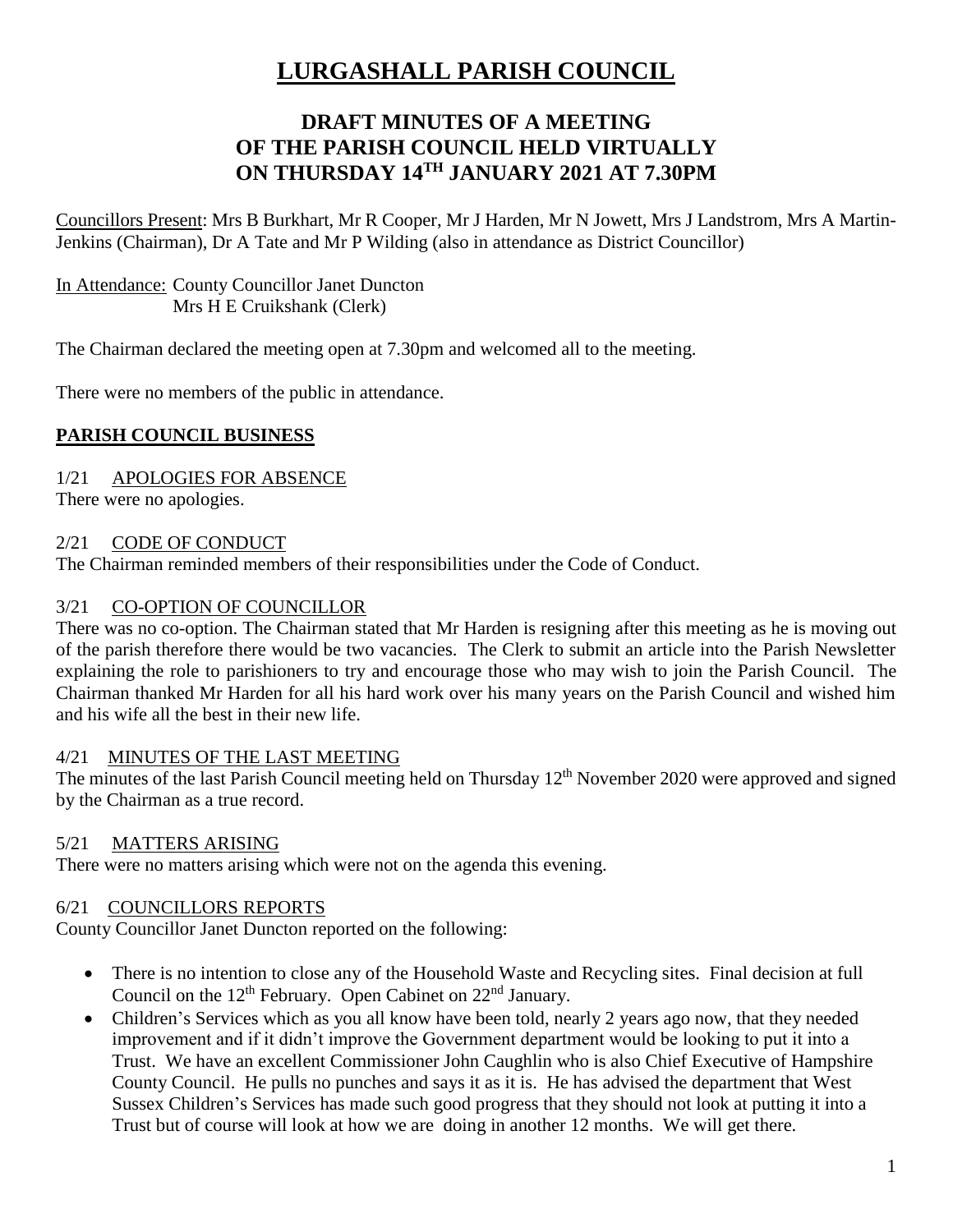# **LURGASHALL PARISH COUNCIL**

# **DRAFT MINUTES OF A MEETING OF THE PARISH COUNCIL HELD VIRTUALLY ON THURSDAY 14TH JANUARY 2021 AT 7.30PM**

Councillors Present: Mrs B Burkhart, Mr R Cooper, Mr J Harden, Mr N Jowett, Mrs J Landstrom, Mrs A Martin-Jenkins (Chairman), Dr A Tate and Mr P Wilding (also in attendance as District Councillor)

## In Attendance: County Councillor Janet Duncton Mrs H E Cruikshank (Clerk)

The Chairman declared the meeting open at 7.30pm and welcomed all to the meeting.

There were no members of the public in attendance.

# **PARISH COUNCIL BUSINESS**

## 1/21 APOLOGIES FOR ABSENCE

There were no apologies.

#### 2/21 CODE OF CONDUCT

The Chairman reminded members of their responsibilities under the Code of Conduct.

#### 3/21 CO-OPTION OF COUNCILLOR

There was no co-option. The Chairman stated that Mr Harden is resigning after this meeting as he is moving out of the parish therefore there would be two vacancies. The Clerk to submit an article into the Parish Newsletter explaining the role to parishioners to try and encourage those who may wish to join the Parish Council. The Chairman thanked Mr Harden for all his hard work over his many years on the Parish Council and wished him and his wife all the best in their new life.

## 4/21 MINUTES OF THE LAST MEETING

The minutes of the last Parish Council meeting held on Thursday 12<sup>th</sup> November 2020 were approved and signed by the Chairman as a true record.

## 5/21 MATTERS ARISING

There were no matters arising which were not on the agenda this evening.

## 6/21 COUNCILLORS REPORTS

County Councillor Janet Duncton reported on the following:

- There is no intention to close any of the Household Waste and Recycling sites. Final decision at full Council on the  $12<sup>th</sup>$  February. Open Cabinet on  $22<sup>nd</sup>$  January.
- Children's Services which as you all know have been told, nearly 2 years ago now, that they needed improvement and if it didn't improve the Government department would be looking to put it into a Trust. We have an excellent Commissioner John Caughlin who is also Chief Executive of Hampshire County Council. He pulls no punches and says it as it is. He has advised the department that West Sussex Children's Services has made such good progress that they should not look at putting it into a Trust but of course will look at how we are doing in another 12 months. We will get there.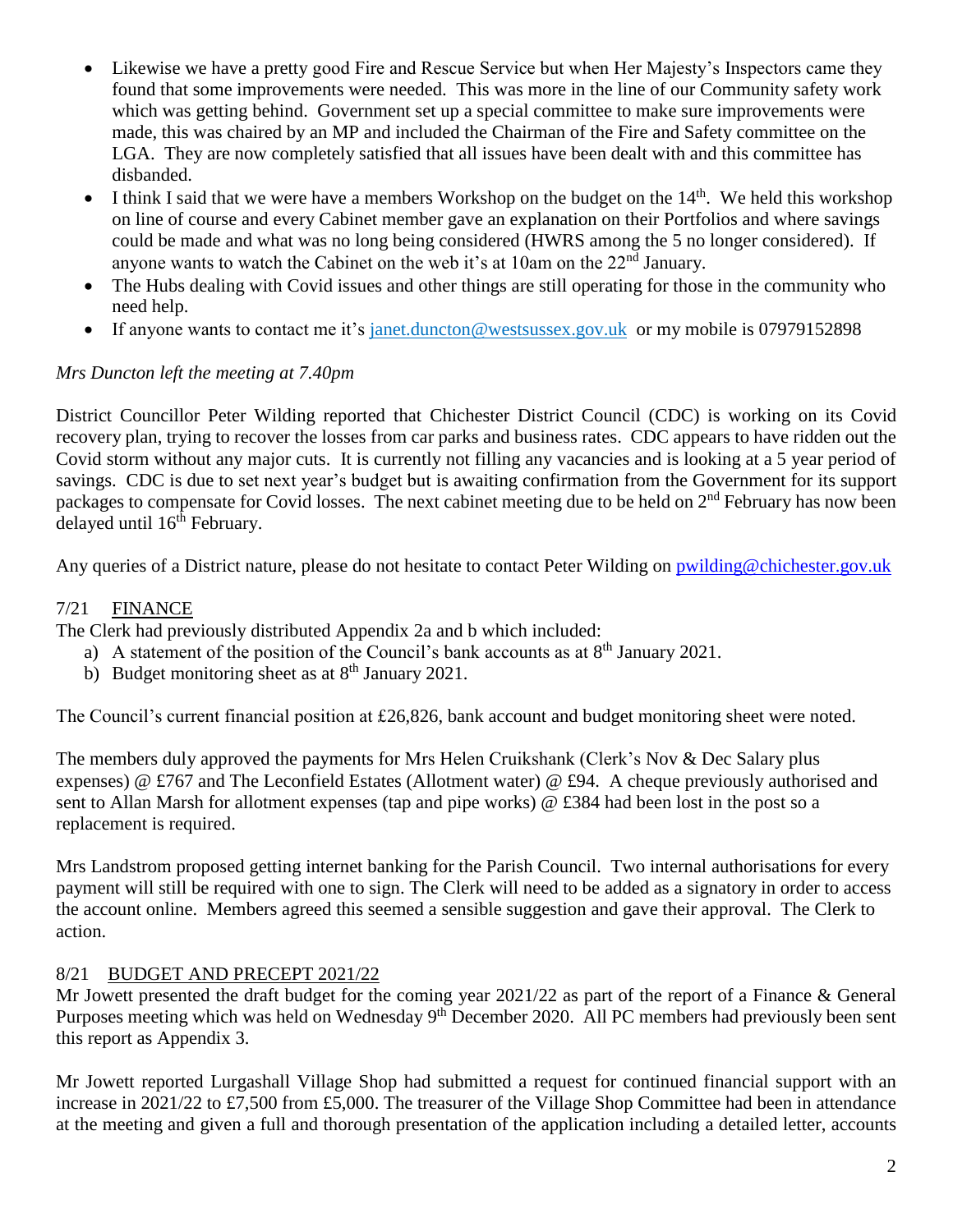- Likewise we have a pretty good Fire and Rescue Service but when Her Majesty's Inspectors came they found that some improvements were needed. This was more in the line of our Community safety work which was getting behind. Government set up a special committee to make sure improvements were made, this was chaired by an MP and included the Chairman of the Fire and Safety committee on the LGA. They are now completely satisfied that all issues have been dealt with and this committee has disbanded.
- I think I said that we were have a members Workshop on the budget on the  $14<sup>th</sup>$ . We held this workshop on line of course and every Cabinet member gave an explanation on their Portfolios and where savings could be made and what was no long being considered (HWRS among the 5 no longer considered). If anyone wants to watch the Cabinet on the web it's at 10am on the  $22<sup>nd</sup>$  January.
- The Hubs dealing with Covid issues and other things are still operating for those in the community who need help.
- If anyone wants to contact me it's [janet.duncton@westsussex.gov.uk](mailto:janet.duncton@westsussex.gov.uk) or my mobile is 07979152898

# *Mrs Duncton left the meeting at 7.40pm*

District Councillor Peter Wilding reported that Chichester District Council (CDC) is working on its Covid recovery plan, trying to recover the losses from car parks and business rates. CDC appears to have ridden out the Covid storm without any major cuts. It is currently not filling any vacancies and is looking at a 5 year period of savings. CDC is due to set next year's budget but is awaiting confirmation from the Government for its support packages to compensate for Covid losses. The next cabinet meeting due to be held on 2<sup>nd</sup> February has now been delayed until 16<sup>th</sup> February.

Any queries of a District nature, please do not hesitate to contact Peter Wilding on [pwilding@chichester.gov.uk](mailto:pwilding@chichester.gov.uk)

# 7/21 FINANCE

The Clerk had previously distributed Appendix 2a and b which included:

- a) A statement of the position of the Council's bank accounts as at  $8<sup>th</sup>$  January 2021.
- b) Budget monitoring sheet as at  $8<sup>th</sup>$  January 2021.

The Council's current financial position at £26,826, bank account and budget monitoring sheet were noted.

The members duly approved the payments for Mrs Helen Cruikshank (Clerk's Nov & Dec Salary plus expenses) @ £767 and The Leconfield Estates (Allotment water) @ £94. A cheque previously authorised and sent to Allan Marsh for allotment expenses (tap and pipe works) @ £384 had been lost in the post so a replacement is required.

Mrs Landstrom proposed getting internet banking for the Parish Council. Two internal authorisations for every payment will still be required with one to sign. The Clerk will need to be added as a signatory in order to access the account online. Members agreed this seemed a sensible suggestion and gave their approval. The Clerk to action.

# 8/21 BUDGET AND PRECEPT 2021/22

Mr Jowett presented the draft budget for the coming year 2021/22 as part of the report of a Finance & General Purposes meeting which was held on Wednesday 9<sup>th</sup> December 2020. All PC members had previously been sent this report as Appendix 3.

Mr Jowett reported Lurgashall Village Shop had submitted a request for continued financial support with an increase in 2021/22 to £7,500 from £5,000. The treasurer of the Village Shop Committee had been in attendance at the meeting and given a full and thorough presentation of the application including a detailed letter, accounts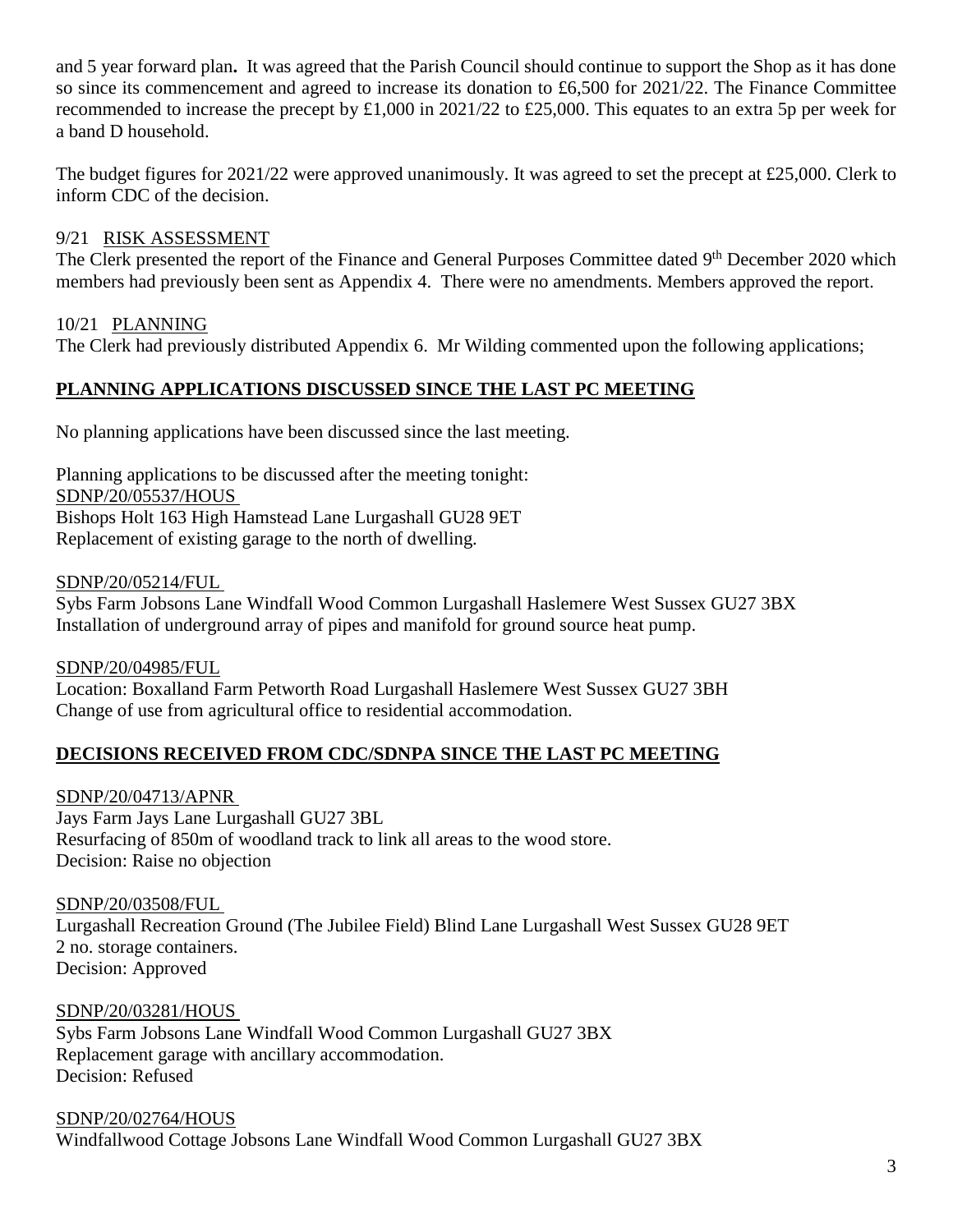and 5 year forward plan**.** It was agreed that the Parish Council should continue to support the Shop as it has done so since its commencement and agreed to increase its donation to £6,500 for 2021/22. The Finance Committee recommended to increase the precept by £1,000 in 2021/22 to £25,000. This equates to an extra 5p per week for a band D household.

The budget figures for 2021/22 were approved unanimously. It was agreed to set the precept at £25,000. Clerk to inform CDC of the decision.

# 9/21 RISK ASSESSMENT

The Clerk presented the report of the Finance and General Purposes Committee dated 9<sup>th</sup> December 2020 which members had previously been sent as Appendix 4. There were no amendments. Members approved the report.

# 10/21 PLANNING

The Clerk had previously distributed Appendix 6. Mr Wilding commented upon the following applications;

# **PLANNING APPLICATIONS DISCUSSED SINCE THE LAST PC MEETING**

No planning applications have been discussed since the last meeting.

Planning applications to be discussed after the meeting tonight: SDNP/20/05537/HOUS Bishops Holt 163 High Hamstead Lane Lurgashall GU28 9ET Replacement of existing garage to the north of dwelling.

SDNP/20/05214/FUL Sybs Farm Jobsons Lane Windfall Wood Common Lurgashall Haslemere West Sussex GU27 3BX Installation of underground array of pipes and manifold for ground source heat pump.

SDNP/20/04985/FUL Location: Boxalland Farm Petworth Road Lurgashall Haslemere West Sussex GU27 3BH Change of use from agricultural office to residential accommodation.

## **DECISIONS RECEIVED FROM CDC/SDNPA SINCE THE LAST PC MEETING**

SDNP/20/04713/APNR Jays Farm Jays Lane Lurgashall GU27 3BL Resurfacing of 850m of woodland track to link all areas to the wood store. Decision: Raise no objection

SDNP/20/03508/FUL Lurgashall Recreation Ground (The Jubilee Field) Blind Lane Lurgashall West Sussex GU28 9ET 2 no. storage containers. Decision: Approved

SDNP/20/03281/HOUS Sybs Farm Jobsons Lane Windfall Wood Common Lurgashall GU27 3BX Replacement garage with ancillary accommodation. Decision: Refused

SDNP/20/02764/HOUS Windfallwood Cottage Jobsons Lane Windfall Wood Common Lurgashall GU27 3BX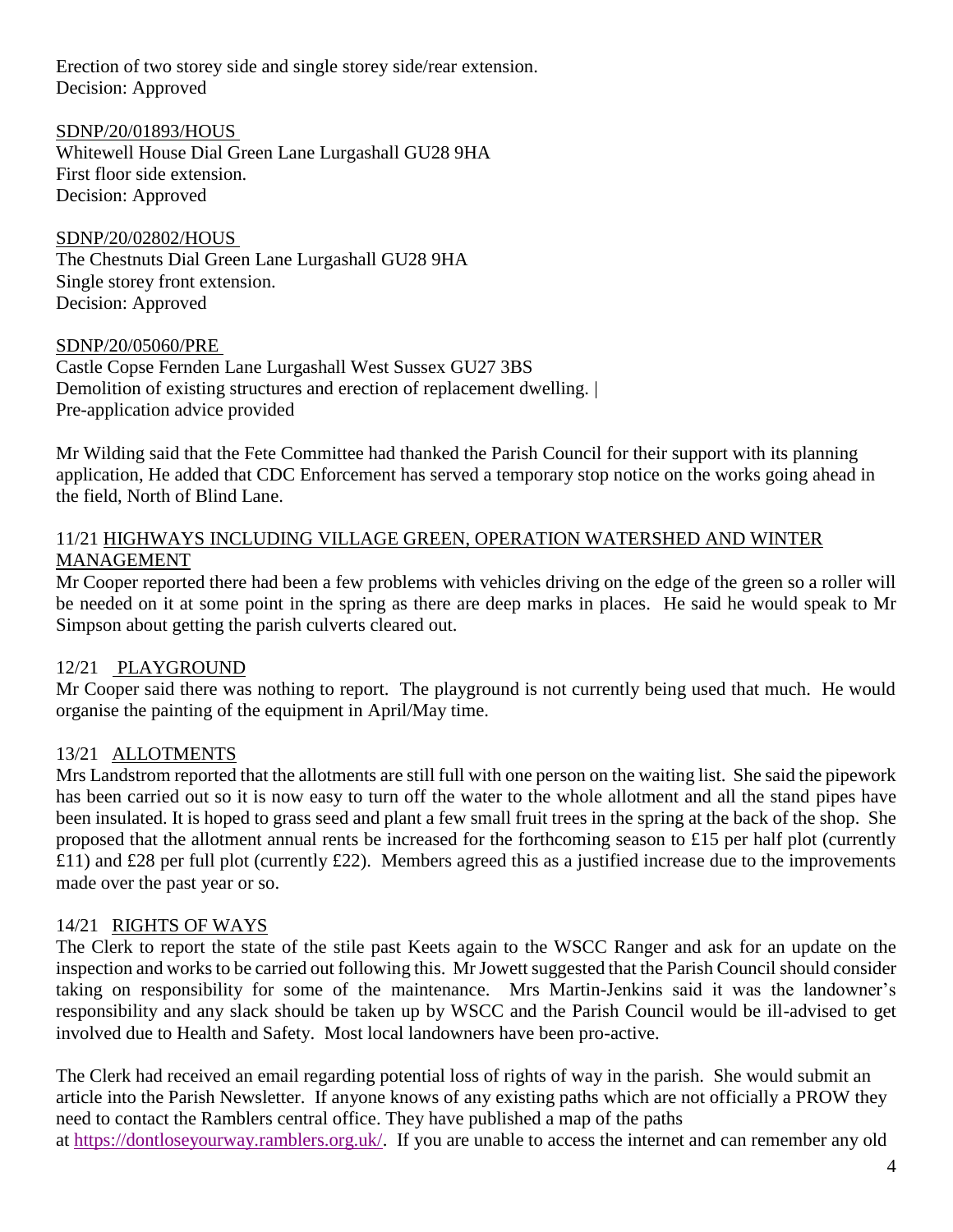Erection of two storey side and single storey side/rear extension. Decision: Approved

SDNP/20/01893/HOUS

Whitewell House Dial Green Lane Lurgashall GU28 9HA First floor side extension. Decision: Approved

SDNP/20/02802/HOUS The Chestnuts Dial Green Lane Lurgashall GU28 9HA Single storey front extension. Decision: Approved

## SDNP/20/05060/PRE

Castle Copse Fernden Lane Lurgashall West Sussex GU27 3BS Demolition of existing structures and erection of replacement dwelling.  $\vert$ Pre-application advice provided

Mr Wilding said that the Fete Committee had thanked the Parish Council for their support with its planning application, He added that CDC Enforcement has served a temporary stop notice on the works going ahead in the field, North of Blind Lane.

## 11/21 HIGHWAYS INCLUDING VILLAGE GREEN, OPERATION WATERSHED AND WINTER MANAGEMENT

Mr Cooper reported there had been a few problems with vehicles driving on the edge of the green so a roller will be needed on it at some point in the spring as there are deep marks in places. He said he would speak to Mr Simpson about getting the parish culverts cleared out.

## 12/21 PLAYGROUND

Mr Cooper said there was nothing to report. The playground is not currently being used that much. He would organise the painting of the equipment in April/May time.

## 13/21 ALLOTMENTS

Mrs Landstrom reported that the allotments are still full with one person on the waiting list. She said the pipework has been carried out so it is now easy to turn off the water to the whole allotment and all the stand pipes have been insulated. It is hoped to grass seed and plant a few small fruit trees in the spring at the back of the shop. She proposed that the allotment annual rents be increased for the forthcoming season to £15 per half plot (currently £11) and £28 per full plot (currently £22). Members agreed this as a justified increase due to the improvements made over the past year or so.

## 14/21 RIGHTS OF WAYS

The Clerk to report the state of the stile past Keets again to the WSCC Ranger and ask for an update on the inspection and works to be carried out following this. Mr Jowett suggested that the Parish Council should consider taking on responsibility for some of the maintenance. Mrs Martin-Jenkins said it was the landowner's responsibility and any slack should be taken up by WSCC and the Parish Council would be ill-advised to get involved due to Health and Safety. Most local landowners have been pro-active.

The Clerk had received an email regarding potential loss of rights of way in the parish. She would submit an article into the Parish Newsletter. If anyone knows of any existing paths which are not officially a PROW they need to contact the Ramblers central office. They have published a map of the paths at [https://dontloseyourway.ramblers.org.uk/.](https://dontloseyourway.ramblers.org.uk/) If you are unable to access the internet and can remember any old